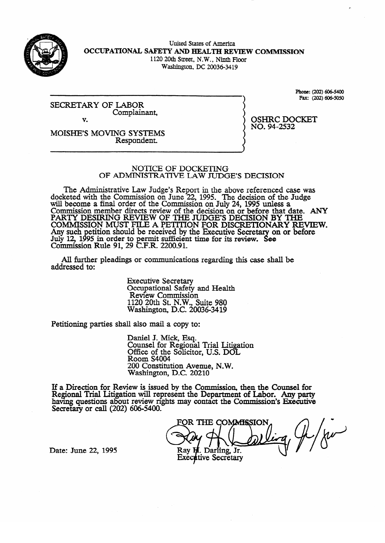

United States of America OCCUPATIONAL SAFETY AND HEALTH REVIEW COMMISSION 1120 20th Street, N.W., Ninth Floor

Washington, DC 20036-3419

SECRETARY OF LABOR Complainant, v.

**Fax:** (202) 606-5050

OSHRC 2001.<br>NO. 94-2532  $\cdots$ 

MOISHE'S MOVING SYSTEMS Respondent.

#### NOTICE OF DOCKETING OF ADMINISTRATIVE LAW JUDGE'S DECISION

OF ADMINISTRATIVE LAW JUDGE'S DECISION seted with the Commission on June 22, 1995. The decision of the Judge will become a final order of the Commission on July 24, 1995 unless a commission on  $\sigma$  the July 24, 1995. Commission member directs review of the decision on or before that d<br>RA BTV DESIDING REVIEW OF THE HIDGE'S DECISION BY TH PARTY DESIRING REVIEW OF THE JUDGE'S DECISION BY THE<br>COMMISSION MUST FILE A DETERON FOR DISCRETIONARY DEVIEW. COMMISSION MUST FILE A PETITION FOR DISCRETIONARY RE Any such petition should be received by the Executive Secretary on or before<br>July 12, 1005 in order to permit sufficient time for its review. See JULY 12, 19<br>Commissi Commission  $\epsilon$ ,  $\epsilon$  or the FC permit sum clear time for its review.<br>Shown a 1 20 C F R 2200.01 on or before In Kuie 91,  $29 \text{ C.F.K. } 2200.91.$ 

All further pleadings or communications regarding this case shall be  $A$  further pleading or communications regarding the communications regarding the case shall be shall be shall be shall be shall be shall be shall be shall be shall be shall be shall be shall be shall be shall be shall be

> **Executive Secretary** Occupational Safety and Health<br>Review Commission  $1120$  20th St. N.W. Suite 980 Nashington, D.C. 200 1120 20th St. N.W., Suite 980

Petitioning parties shall also mail a copy to:

Daniel J. Mick, Esq.<br>Counsel for Regional Trial Litigation Office of the Solicito  $Room S4004$ 200 Constitution Avenue, N.W. Washington, D.C. 20210

 $\overline{\phantom{a}}$ ew is issued by the Comhaving questions about review rights may contact the Commission's Executive Secretary or call  $(202)$  606-5400.

FOR THE COMMISSION<br>Day of Contact the Guessian Commission Ray H. Darling, Jr. **Executive Secretary** 

Date: June 22, 1995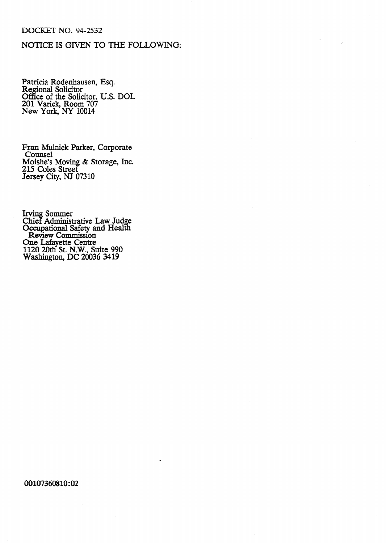### DOCKET NO. 94-2532

# NOTICE IS GIVEN TO THE FOLLOWING:

 $\hat{L}$ 

Patricia Rodenhausen, Esq.<br>Regional Solicitor<br>Office of the Solicitor, U.S. DOL<br>201 Varick, Room 707<br>New York, NY 10014

Fran Mulnick Parker, Corporate Counsel<br>Counsel<br>Moishe's Moving & Storage, Inc.<br>215 Coles Street<br>Jersey City, NJ 07310

Irving Sommer<br>Chief Administrative Law Judge<br>Occupational Safety and Health<br>Review Commission<br>One Lafayette Centre<br>1120 20th St. N.W., Suite 990<br>Washington, DC 20036 3419

#### 00107360810:02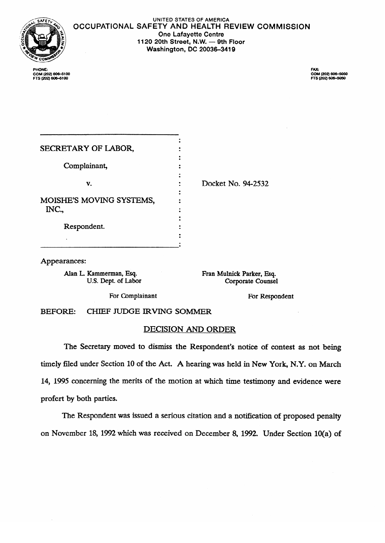

UNITED **STATES OF AMERICA OCCUPATIONAL SAFETY AND HEALTH REVIEW COMMISSION One Lafayette Centre**  1120 20th Street, N.W. - 9th Floor

**Washington, DC 20036-3419** 

. COM (202) 606–5050<br>FTS (202) 606–5050

| PHONE:             |  |  |
|--------------------|--|--|
| COM (202) 606-5100 |  |  |
| FTS (202) 606–5100 |  |  |

| SECRETARY OF LABOR,               |                    |
|-----------------------------------|--------------------|
| Complainant,                      |                    |
| v.                                | Docket No. 94-2532 |
|                                   |                    |
| MOISHE'S MOVING SYSTEMS,<br>INC., |                    |
| Respondent.                       |                    |
|                                   |                    |
|                                   |                    |

Appearances:

Alan L. Kammerman, Esq. U.S. Dept. of Labor Fran Mulnick Parker, Esq. Corporate Counsel

For Complainant

For Respondent

CHIEF JUDGE IRVING SOMMER **BEFORE:** 

## DECISION AND ORDER

The Secretary moved to dismiss the Respondent's notice of contest as not being timely filed under Section 10 of the Act. A hearing was held in New York, N.Y. on March 14, 1995 concerning the merits of the motion at which time testimony and evidence were profert by both parties.

The Respondent was issued a serious citation and a notification of proposed penalty on November 18, 1992 which was received on December 8, 1992. Under Section 10(a) of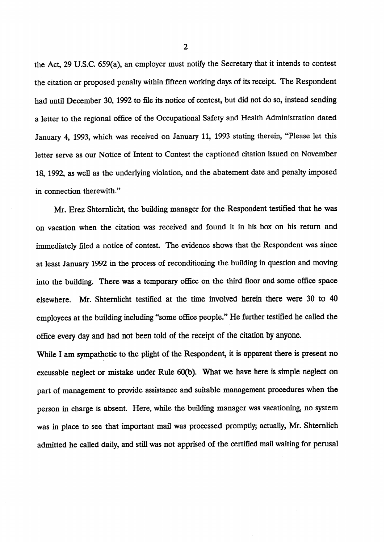the Act, 29 U.S.C. 659(a), an employer must notify the Secretary that it intends to contest the citation or proposed penalty within fifteen working days of its receipt. The Respondent had until December 30, 1992 to file its notice of contest, but did not do so, instead sending a letter to the regional office of the Occupational Safety and Health Administration dated January 4, 1993, which was received on January 11, 1993 stating therein, "Please let this letter serve as our Notice of Intent to Contest the captioned citation issued on November 18, 1992, as well as the underlying violation, and the abatement date and penalty imposed in connection therewith."

Mr. Erez Shtemlicht, the building manager for the Respondent testified that he was on vacation when the citation was received and found it in his box on his return and immediately filed a notice of contest. The evidence shows that the Respondent was since at least January 1992 in the process of reconditioning the building in question and moving into the building. There was a temporary office on the third floor and some office space elsewhere. Mr. Shtemlicht testified at the time involved herein there were 30 to 40 employees at the building including "some office people." He further testified he called the office every day and had not been told of the receipt of the citation by anyone.

While I am sympathetic to the plight of the Respondent, it is apparent there is present no excusable neglect or mistake under Rule 60(b). What we have here is simple neglect on part of management to provide assistance and suitable management procedures when the person in charge is absent. Here, while the building manager was vacationing, no system was in place to see that important mail was processed promptly; actually, Mr. Shternlich admitted he called daily, and still was not apprised of the certified mail waiting for perusal

2